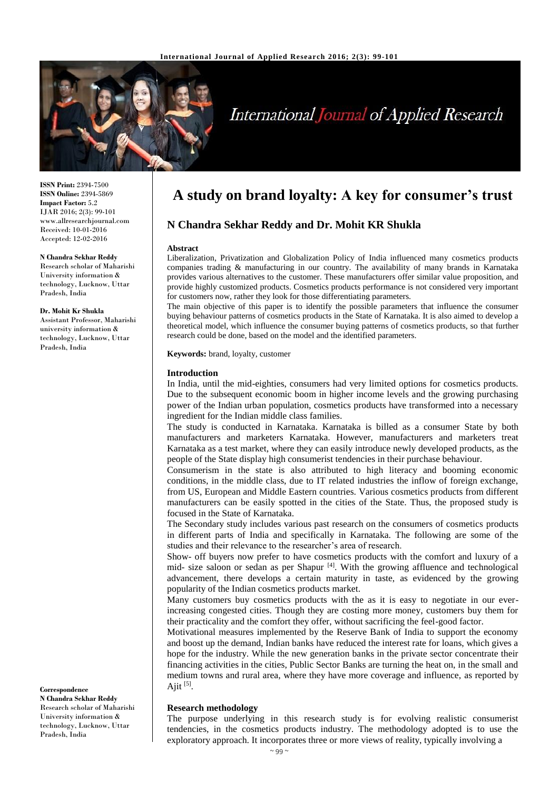

# **International Journal of Applied Research**

**ISSN Print:** 2394-7500 **ISSN Online:** 2394-5869 **Impact Factor:** 5.2 IJAR 2016; 2(3): 99-101 www.allresearchjournal.com Received: 10-01-2016 Accepted: 12-02-2016

#### **N Chandra Sekhar Reddy**

Research scholar of Maharishi University information & technology, Lucknow, Uttar Pradesh, India

**Dr. Mohit Kr Shukla** Assistant Professor, Maharishi university information & technology, Lucknow, Uttar Pradesh, India

#### **Correspondence**

**N Chandra Sekhar Reddy** Research scholar of Maharishi University information & technology, Lucknow, Uttar Pradesh, India

# **A study on brand loyalty: A key for consumer's trust**

# **N Chandra Sekhar Reddy and Dr. Mohit KR Shukla**

#### **Abstract**

Liberalization, Privatization and Globalization Policy of India influenced many cosmetics products companies trading & manufacturing in our country. The availability of many brands in Karnataka provides various alternatives to the customer. These manufacturers offer similar value proposition, and provide highly customized products. Cosmetics products performance is not considered very important for customers now, rather they look for those differentiating parameters.

The main objective of this paper is to identify the possible parameters that influence the consumer buying behaviour patterns of cosmetics products in the State of Karnataka. It is also aimed to develop a theoretical model, which influence the consumer buying patterns of cosmetics products, so that further research could be done, based on the model and the identified parameters.

**Keywords:** brand, loyalty, customer

#### **Introduction**

In India, until the mid-eighties, consumers had very limited options for cosmetics products. Due to the subsequent economic boom in higher income levels and the growing purchasing power of the Indian urban population, cosmetics products have transformed into a necessary ingredient for the Indian middle class families.

The study is conducted in Karnataka. Karnataka is billed as a consumer State by both manufacturers and marketers Karnataka. However, manufacturers and marketers treat Karnataka as a test market, where they can easily introduce newly developed products, as the people of the State display high consumerist tendencies in their purchase behaviour.

Consumerism in the state is also attributed to high literacy and booming economic conditions, in the middle class, due to IT related industries the inflow of foreign exchange, from US, European and Middle Eastern countries. Various cosmetics products from different manufacturers can be easily spotted in the cities of the State. Thus, the proposed study is focused in the State of Karnataka.

The Secondary study includes various past research on the consumers of cosmetics products in different parts of India and specifically in Karnataka. The following are some of the studies and their relevance to the researcher's area of research.

Show- off buyers now prefer to have cosmetics products with the comfort and luxury of a mid- size saloon or sedan as per Shapur<sup>[4]</sup>. With the growing affluence and technological advancement, there develops a certain maturity in taste, as evidenced by the growing popularity of the Indian cosmetics products market.

Many customers buy cosmetics products with the as it is easy to negotiate in our everincreasing congested cities. Though they are costing more money, customers buy them for their practicality and the comfort they offer, without sacrificing the feel-good factor.

Motivational measures implemented by the Reserve Bank of India to support the economy and boost up the demand, Indian banks have reduced the interest rate for loans, which gives a hope for the industry. While the new generation banks in the private sector concentrate their financing activities in the cities, Public Sector Banks are turning the heat on, in the small and medium towns and rural area, where they have more coverage and influence, as reported by Ajit  $^{[5]}$ .

#### **Research methodology**

The purpose underlying in this research study is for evolving realistic consumerist tendencies, in the cosmetics products industry. The methodology adopted is to use the exploratory approach. It incorporates three or more views of reality, typically involving a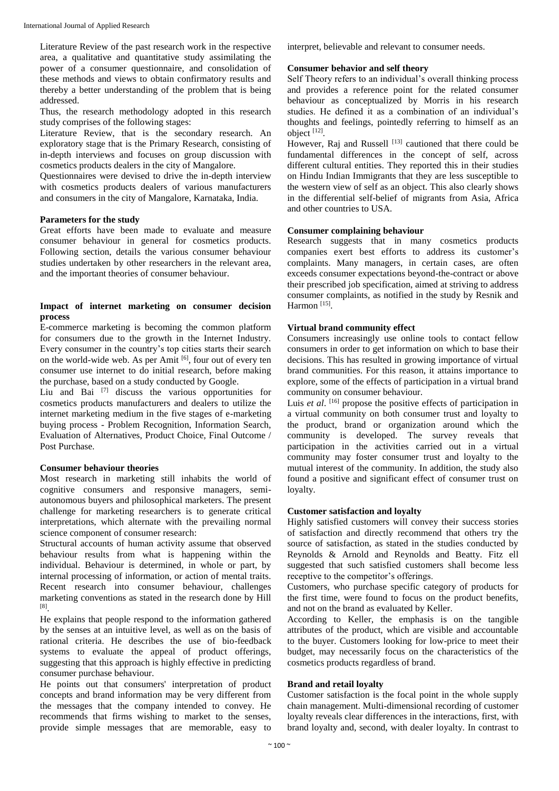Literature Review of the past research work in the respective area, a qualitative and quantitative study assimilating the power of a consumer questionnaire, and consolidation of these methods and views to obtain confirmatory results and thereby a better understanding of the problem that is being addressed.

Thus, the research methodology adopted in this research study comprises of the following stages:

Literature Review, that is the secondary research. An exploratory stage that is the Primary Research, consisting of in-depth interviews and focuses on group discussion with cosmetics products dealers in the city of Mangalore.

Questionnaires were devised to drive the in-depth interview with cosmetics products dealers of various manufacturers and consumers in the city of Mangalore, Karnataka, India.

# **Parameters for the study**

Great efforts have been made to evaluate and measure consumer behaviour in general for cosmetics products. Following section, details the various consumer behaviour studies undertaken by other researchers in the relevant area, and the important theories of consumer behaviour.

#### **Impact of internet marketing on consumer decision process**

E-commerce marketing is becoming the common platform for consumers due to the growth in the Internet Industry. Every consumer in the country's top cities starts their search on the world-wide web. As per Amit  $[6]$ , four out of every ten consumer use internet to do initial research, before making the purchase, based on a study conducted by Google.

Liu and Bai <a>[7]</a> discuss the various opportunities for cosmetics products manufacturers and dealers to utilize the internet marketing medium in the five stages of e-marketing buying process - Problem Recognition, Information Search, Evaluation of Alternatives, Product Choice, Final Outcome / Post Purchase.

# **Consumer behaviour theories**

Most research in marketing still inhabits the world of cognitive consumers and responsive managers, semiautonomous buyers and philosophical marketers. The present challenge for marketing researchers is to generate critical interpretations, which alternate with the prevailing normal science component of consumer research:

Structural accounts of human activity assume that observed behaviour results from what is happening within the individual. Behaviour is determined, in whole or part, by internal processing of information, or action of mental traits. Recent research into consumer behaviour, challenges marketing conventions as stated in the research done by Hill [8] .

He explains that people respond to the information gathered by the senses at an intuitive level, as well as on the basis of rational criteria. He describes the use of bio-feedback systems to evaluate the appeal of product offerings, suggesting that this approach is highly effective in predicting consumer purchase behaviour.

He points out that consumers' interpretation of product concepts and brand information may be very different from the messages that the company intended to convey. He recommends that firms wishing to market to the senses, provide simple messages that are memorable, easy to

interpret, believable and relevant to consumer needs.

### **Consumer behavior and self theory**

Self Theory refers to an individual's overall thinking process and provides a reference point for the related consumer behaviour as conceptualized by Morris in his research studies. He defined it as a combination of an individual's thoughts and feelings, pointedly referring to himself as an object [12] .

However, Raj and Russell  $^{[13]}$  cautioned that there could be fundamental differences in the concept of self, across different cultural entities. They reported this in their studies on Hindu Indian Immigrants that they are less susceptible to the western view of self as an object. This also clearly shows in the differential self-belief of migrants from Asia, Africa and other countries to USA.

#### **Consumer complaining behaviour**

Research suggests that in many cosmetics products companies exert best efforts to address its customer's complaints. Many managers, in certain cases, are often exceeds consumer expectations beyond-the-contract or above their prescribed job specification, aimed at striving to address consumer complaints, as notified in the study by Resnik and Harmon<sup>[15]</sup>.

#### **Virtual brand community effect**

Consumers increasingly use online tools to contact fellow consumers in order to get information on which to base their decisions. This has resulted in growing importance of virtual brand communities. For this reason, it attains importance to explore, some of the effects of participation in a virtual brand community on consumer behaviour.

Luis *et al.* <sup>[16]</sup> propose the positive effects of participation in a virtual community on both consumer trust and loyalty to the product, brand or organization around which the community is developed. The survey reveals that participation in the activities carried out in a virtual community may foster consumer trust and loyalty to the mutual interest of the community. In addition, the study also found a positive and significant effect of consumer trust on loyalty.

#### **Customer satisfaction and loyalty**

Highly satisfied customers will convey their success stories of satisfaction and directly recommend that others try the source of satisfaction, as stated in the studies conducted by Reynolds & Arnold and Reynolds and Beatty. Fitz ell suggested that such satisfied customers shall become less receptive to the competitor's offerings.

Customers, who purchase specific category of products for the first time, were found to focus on the product benefits, and not on the brand as evaluated by Keller.

According to Keller, the emphasis is on the tangible attributes of the product, which are visible and accountable to the buyer. Customers looking for low-price to meet their budget, may necessarily focus on the characteristics of the cosmetics products regardless of brand.

#### **Brand and retail loyalty**

Customer satisfaction is the focal point in the whole supply chain management. Multi-dimensional recording of customer loyalty reveals clear differences in the interactions, first, with brand loyalty and, second, with dealer loyalty. In contrast to